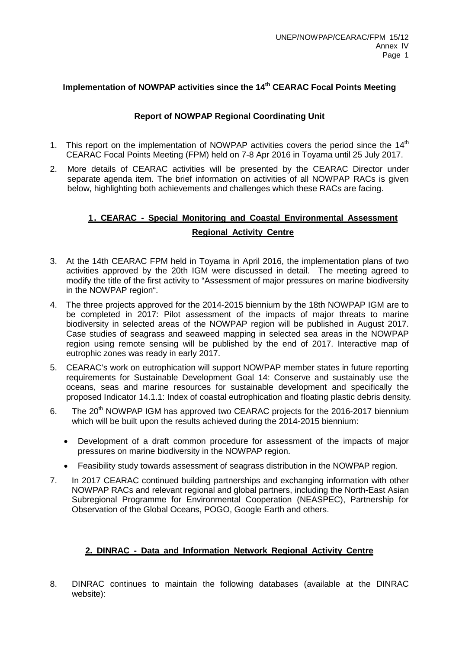# **Implementation of NOWPAP activities since the 14th CEARAC Focal Points Meeting**

### **Report of NOWPAP Regional Coordinating Unit**

- 1. This report on the implementation of NOWPAP activities covers the period since the 14<sup>th</sup> CEARAC Focal Points Meeting (FPM) held on 7-8 Apr 2016 in Toyama until 25 July 2017.
- 2. More details of CEARAC activities will be presented by the CEARAC Director under separate agenda item. The brief information on activities of all NOWPAP RACs is given below, highlighting both achievements and challenges which these RACs are facing.

# **1. CEARAC - Special Monitoring and Coastal Environmental Assessment Regional Activity Centre**

- 3. At the 14th CEARAC FPM held in Toyama in April 2016, the implementation plans of two activities approved by the 20th IGM were discussed in detail. The meeting agreed to modify the title of the first activity to "Assessment of major pressures on marine biodiversity in the NOWPAP region".
- 4. The three projects approved for the 2014-2015 biennium by the 18th NOWPAP IGM are to be completed in 2017: Pilot assessment of the impacts of major threats to marine biodiversity in selected areas of the NOWPAP region will be published in August 2017. Case studies of seagrass and seaweed mapping in selected sea areas in the NOWPAP region using remote sensing will be published by the end of 2017. Interactive map of eutrophic zones was ready in early 2017.
- 5. CEARAC's work on eutrophication will support NOWPAP member states in future reporting requirements for Sustainable Development Goal 14: Conserve and sustainably use the oceans, seas and marine resources for sustainable development and specifically the proposed Indicator 14.1.1: Index of coastal eutrophication and floating plastic debris density.
- 6. The 20<sup>th</sup> NOWPAP IGM has approved two CEARAC projects for the 2016-2017 biennium which will be built upon the results achieved during the 2014-2015 biennium:
	- Development of a draft common procedure for assessment of the impacts of major pressures on marine biodiversity in the NOWPAP region.
	- Feasibility study towards assessment of seagrass distribution in the NOWPAP region.
- 7. In 2017 CEARAC continued building partnerships and exchanging information with other NOWPAP RACs and relevant regional and global partners, including the North-East Asian Subregional Programme for Environmental Cooperation (NEASPEC), Partnership for Observation of the Global Oceans, POGO, Google Earth and others.

### **2. DINRAC - Data and Information Network Regional Activity Centre**

8. DINRAC continues to maintain the following databases (available at the DINRAC website):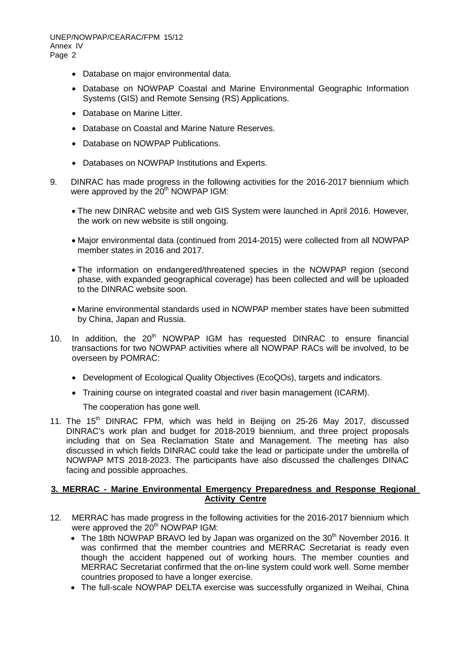UNEP/NOWPAP/CEARAC/FPM 15/12 Annex IV Page 2

- Database on major environmental data.
- Database on NOWPAP Coastal and Marine Environmental Geographic Information Systems (GIS) and Remote Sensing (RS) Applications.
- Database on Marine Litter.
- Database on Coastal and Marine Nature Reserves.
- Database on NOWPAP Publications.
- Databases on NOWPAP Institutions and Experts.
- 9. DINRAC has made progress in the following activities for the 2016-2017 biennium which were approved by the  $20<sup>th</sup>$  NOWPAP IGM:
	- The new DINRAC website and web GIS System were launched in April 2016. However, the work on new website is still ongoing.
	- Major environmental data (continued from 2014-2015) were collected from all NOWPAP member states in 2016 and 2017.
	- The information on endangered/threatened species in the NOWPAP region (second phase, with expanded geographical coverage) has been collected and will be uploaded to the DINRAC website soon.
	- Marine environmental standards used in NOWPAP member states have been submitted by China, Japan and Russia.
- 10. In addition, the  $20<sup>th</sup>$  NOWPAP IGM has requested DINRAC to ensure financial transactions for two NOWPAP activities where all NOWPAP RACs will be involved, to be overseen by POMRAC:
	- Development of Ecological Quality Objectives (EcoQOs), targets and indicators.
	- Training course on integrated coastal and river basin management (ICARM).

The cooperation has gone well.

11. The 15<sup>th</sup> DINRAC FPM, which was held in Beijing on 25-26 May 2017, discussed DINRAC's work plan and budget for 2018-2019 biennium, and three project proposals including that on Sea Reclamation State and Management. The meeting has also discussed in which fields DINRAC could take the lead or participate under the umbrella of NOWPAP MTS 2018-2023. The participants have also discussed the challenges DINAC facing and possible approaches.

#### **3. MERRAC - Marine Environmental Emergency Preparedness and Response Regional Activity Centre**

- 12. MERRAC has made progress in the following activities for the 2016-2017 biennium which were approved the 20<sup>th</sup> NOWPAP IGM:
	- The 18th NOWPAP BRAVO led by Japan was organized on the  $30<sup>th</sup>$  November 2016. It was confirmed that the member countries and MERRAC Secretariat is ready even though the accident happened out of working hours. The member counties and MERRAC Secretariat confirmed that the on-line system could work well. Some member countries proposed to have a longer exercise.
	- The full-scale NOWPAP DELTA exercise was successfully organized in Weihai, China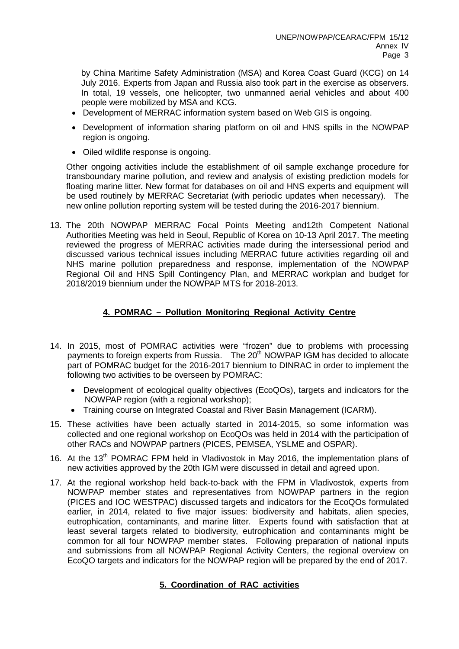by China Maritime Safety Administration (MSA) and Korea Coast Guard (KCG) on 14 July 2016. Experts from Japan and Russia also took part in the exercise as observers. In total, 19 vessels, one helicopter, two unmanned aerial vehicles and about 400 people were mobilized by MSA and KCG.

- Development of MERRAC information system based on Web GIS is ongoing.
- Development of information sharing platform on oil and HNS spills in the NOWPAP region is ongoing.
- Oiled wildlife response is ongoing.

Other ongoing activities include the establishment of oil sample exchange procedure for transboundary marine pollution, and review and analysis of existing prediction models for floating marine litter. New format for databases on oil and HNS experts and equipment will be used routinely by MERRAC Secretariat (with periodic updates when necessary). The new online pollution reporting system will be tested during the 2016-2017 biennium.

13. The 20th NOWPAP MERRAC Focal Points Meeting and12th Competent National Authorities Meeting was held in Seoul, Republic of Korea on 10-13 April 2017. The meeting reviewed the progress of MERRAC activities made during the intersessional period and discussed various technical issues including MERRAC future activities regarding oil and NHS marine pollution preparedness and response, implementation of the NOWPAP Regional Oil and HNS Spill Contingency Plan, and MERRAC workplan and budget for 2018/2019 biennium under the NOWPAP MTS for 2018-2013.

# **4. POMRAC – Pollution Monitoring Regional Activity Centre**

- 14. In 2015, most of POMRAC activities were "frozen" due to problems with processing payments to foreign experts from Russia. The 20<sup>th</sup> NOWPAP IGM has decided to allocate part of POMRAC budget for the 2016-2017 biennium to DINRAC in order to implement the following two activities to be overseen by POMRAC:
	- Development of ecological quality objectives (EcoQOs), targets and indicators for the NOWPAP region (with a regional workshop);
	- Training course on Integrated Coastal and River Basin Management (ICARM).
- 15. These activities have been actually started in 2014-2015, so some information was collected and one regional workshop on EcoQOs was held in 2014 with the participation of other RACs and NOWPAP partners (PICES, PEMSEA, YSLME and OSPAR).
- 16. At the 13<sup>th</sup> POMRAC FPM held in Vladivostok in May 2016, the implementation plans of new activities approved by the 20th IGM were discussed in detail and agreed upon.
- 17. At the regional workshop held back-to-back with the FPM in Vladivostok, experts from NOWPAP member states and representatives from NOWPAP partners in the region (PICES and IOC WESTPAC) discussed targets and indicators for the EcoQOs formulated earlier, in 2014, related to five major issues: biodiversity and habitats, alien species, eutrophication, contaminants, and marine litter. Experts found with satisfaction that at least several targets related to biodiversity, eutrophication and contaminants might be common for all four NOWPAP member states. Following preparation of national inputs and submissions from all NOWPAP Regional Activity Centers, the regional overview on EcoQO targets and indicators for the NOWPAP region will be prepared by the end of 2017.

# **5. Coordination of RAC activities**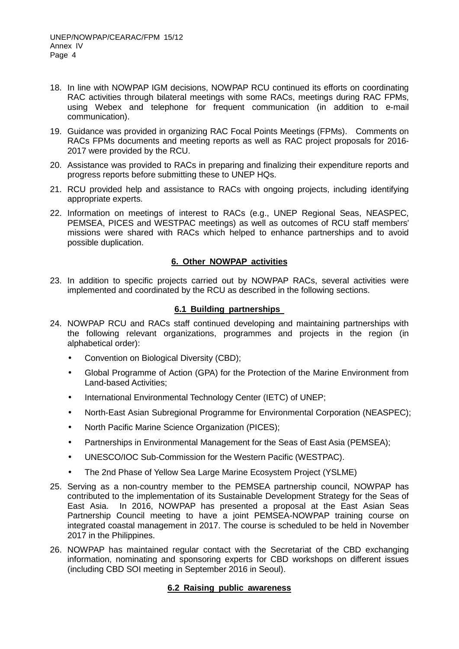- 18. In line with NOWPAP IGM decisions, NOWPAP RCU continued its efforts on coordinating RAC activities through bilateral meetings with some RACs, meetings during RAC FPMs, using Webex and telephone for frequent communication (in addition to e-mail communication).
- 19. Guidance was provided in organizing RAC Focal Points Meetings (FPMs). Comments on RACs FPMs documents and meeting reports as well as RAC project proposals for 2016- 2017 were provided by the RCU.
- 20. Assistance was provided to RACs in preparing and finalizing their expenditure reports and progress reports before submitting these to UNEP HQs.
- 21. RCU provided help and assistance to RACs with ongoing projects, including identifying appropriate experts.
- 22. Information on meetings of interest to RACs (e.g., UNEP Regional Seas, NEASPEC, PEMSEA, PICES and WESTPAC meetings) as well as outcomes of RCU staff members' missions were shared with RACs which helped to enhance partnerships and to avoid possible duplication.

### **6. Other NOWPAP activities**

23. In addition to specific projects carried out by NOWPAP RACs, several activities were implemented and coordinated by the RCU as described in the following sections.

# **6.1 Building partnerships**

- 24. NOWPAP RCU and RACs staff continued developing and maintaining partnerships with the following relevant organizations, programmes and projects in the region (in alphabetical order):
	- Convention on Biological Diversity (CBD);
	- Global Programme of Action (GPA) for the Protection of the Marine Environment from Land-based Activities;
	- International Environmental Technology Center (IETC) of UNEP;
	- North-East Asian Subregional Programme for Environmental Corporation (NEASPEC);
	- North Pacific Marine Science Organization (PICES);
	- Partnerships in Environmental Management for the Seas of East Asia (PEMSEA);
	- UNESCO/IOC Sub-Commission for the Western Pacific (WESTPAC).
	- The 2nd Phase of Yellow Sea Large Marine Ecosystem Project (YSLME)
- 25. Serving as a non-country member to the PEMSEA partnership council, NOWPAP has contributed to the implementation of its Sustainable Development Strategy for the Seas of East Asia. In 2016, NOWPAP has presented a proposal at the East Asian Seas Partnership Council meeting to have a joint PEMSEA-NOWPAP training course on integrated coastal management in 2017. The course is scheduled to be held in November 2017 in the Philippines.
- 26. NOWPAP has maintained regular contact with the Secretariat of the CBD exchanging information, nominating and sponsoring experts for CBD workshops on different issues (including CBD SOI meeting in September 2016 in Seoul).

# **6.2 Raising public awareness**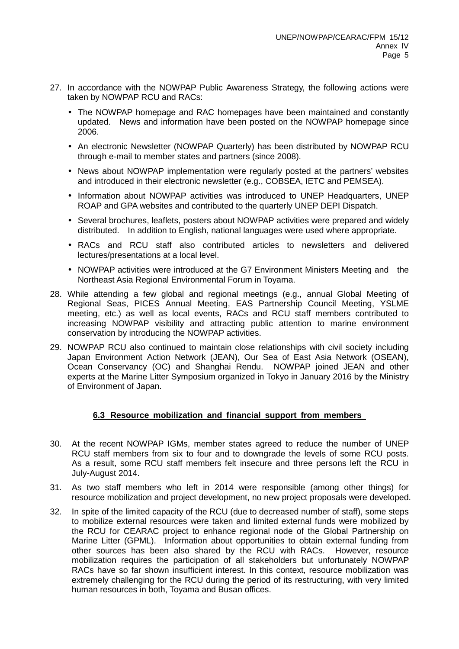- 27. In accordance with the NOWPAP Public Awareness Strategy, the following actions were taken by NOWPAP RCU and RACs:
	- The NOWPAP homepage and RAC homepages have been maintained and constantly updated. News and information have been posted on the NOWPAP homepage since 2006.
	- An electronic Newsletter (NOWPAP Quarterly) has been distributed by NOWPAP RCU through e-mail to member states and partners (since 2008).
	- News about NOWPAP implementation were regularly posted at the partners' websites and introduced in their electronic newsletter (e.g., COBSEA, IETC and PEMSEA).
	- Information about NOWPAP activities was introduced to UNEP Headquarters, UNEP ROAP and GPA websites and contributed to the quarterly UNEP DEPI Dispatch.
	- Several brochures, leaflets, posters about NOWPAP activities were prepared and widely distributed. In addition to English, national languages were used where appropriate.
	- RACs and RCU staff also contributed articles to newsletters and delivered lectures/presentations at a local level.
	- NOWPAP activities were introduced at the G7 Environment Ministers Meeting and the Northeast Asia Regional Environmental Forum in Toyama.
- 28. While attending a few global and regional meetings (e.g., annual Global Meeting of Regional Seas, PICES Annual Meeting, EAS Partnership Council Meeting, YSLME meeting, etc.) as well as local events, RACs and RCU staff members contributed to increasing NOWPAP visibility and attracting public attention to marine environment conservation by introducing the NOWPAP activities.
- 29. NOWPAP RCU also continued to maintain close relationships with civil society including Japan Environment Action Network (JEAN), Our Sea of East Asia Network (OSEAN), Ocean Conservancy (OC) and Shanghai Rendu. NOWPAP joined JEAN and other experts at the Marine Litter Symposium organized in Tokyo in January 2016 by the Ministry of Environment of Japan.

### **6.3 Resource mobilization and financial support from members**

- 30. At the recent NOWPAP IGMs, member states agreed to reduce the number of UNEP RCU staff members from six to four and to downgrade the levels of some RCU posts. As a result, some RCU staff members felt insecure and three persons left the RCU in July-August 2014.
- 31. As two staff members who left in 2014 were responsible (among other things) for resource mobilization and project development, no new project proposals were developed.
- 32. In spite of the limited capacity of the RCU (due to decreased number of staff), some steps to mobilize external resources were taken and limited external funds were mobilized by the RCU for CEARAC project to enhance regional node of the Global Partnership on Marine Litter (GPML). Information about opportunities to obtain external funding from other sources has been also shared by the RCU with RACs. However, resource mobilization requires the participation of all stakeholders but unfortunately NOWPAP RACs have so far shown insufficient interest. In this context, resource mobilization was extremely challenging for the RCU during the period of its restructuring, with very limited human resources in both, Toyama and Busan offices.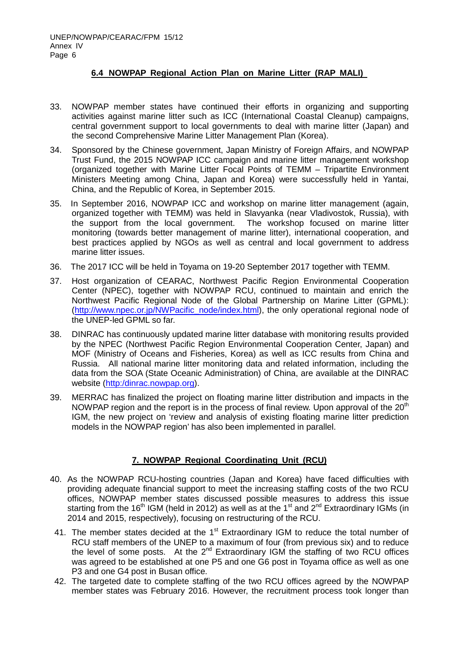### **6.4 NOWPAP Regional Action Plan on Marine Litter (RAP MALI)**

- 33. NOWPAP member states have continued their efforts in organizing and supporting activities against marine litter such as ICC (International Coastal Cleanup) campaigns, central government support to local governments to deal with marine litter (Japan) and the second Comprehensive Marine Litter Management Plan (Korea).
- 34. Sponsored by the Chinese government, Japan Ministry of Foreign Affairs, and NOWPAP Trust Fund, the 2015 NOWPAP ICC campaign and marine litter management workshop (organized together with Marine Litter Focal Points of TEMM – Tripartite Environment Ministers Meeting among China, Japan and Korea) were successfully held in Yantai, China, and the Republic of Korea, in September 2015.
- 35. In September 2016, NOWPAP ICC and workshop on marine litter management (again, organized together with TEMM) was held in Slavyanka (near Vladivostok, Russia), with the support from the local government. The workshop focused on marine litter monitoring (towards better management of marine litter), international cooperation, and best practices applied by NGOs as well as central and local government to address marine litter issues.
- 36. The 2017 ICC will be held in Toyama on 19-20 September 2017 together with TEMM.
- 37. Host organization of CEARAC, Northwest Pacific Region Environmental Cooperation Center (NPEC), together with NOWPAP RCU, continued to maintain and enrich the Northwest Pacific Regional Node of the Global Partnership on Marine Litter (GPML): [\(http://www.npec.or.jp/NWPacific\\_node/index.html\)](http://www.npec.or.jp/NWPacific_node/index.html), the only operational regional node of the UNEP-led GPML so far.
- 38. DINRAC has continuously updated marine litter database with monitoring results provided by the NPEC (Northwest Pacific Region Environmental Cooperation Center, Japan) and MOF (Ministry of Oceans and Fisheries, Korea) as well as ICC results from China and Russia. All national marine litter monitoring data and related information, including the data from the SOA (State Oceanic Administration) of China, are available at the DINRAC website [\(http:/dinrac.nowpap.org\)](http://www.dinrac.nowpap.org/).
- 39. MERRAC has finalized the project on floating marine litter distribution and impacts in the NOWPAP region and the report is in the process of final review. Upon approval of the  $20<sup>th</sup>$ IGM, the new project on 'review and analysis of existing floating marine litter prediction models in the NOWPAP region' has also been implemented in parallel.

### **7. NOWPAP Regional Coordinating Unit (RCU)**

- 40. As the NOWPAP RCU-hosting countries (Japan and Korea) have faced difficulties with providing adequate financial support to meet the increasing staffing costs of the two RCU offices, NOWPAP member states discussed possible measures to address this issue starting from the 16<sup>th</sup> IGM (held in 2012) as well as at the 1<sup>st</sup> and 2<sup>nd</sup> Extraordinary IGMs (in 2014 and 2015, respectively), focusing on restructuring of the RCU.
- 41. The member states decided at the  $1<sup>st</sup>$  Extraordinary IGM to reduce the total number of RCU staff members of the UNEP to a maximum of four (from previous six) and to reduce the level of some posts. At the  $2^{nd}$  Extraordinary IGM the staffing of two RCU offices was agreed to be established at one P5 and one G6 post in Toyama office as well as one P3 and one G4 post in Busan office.
- 42. The targeted date to complete staffing of the two RCU offices agreed by the NOWPAP member states was February 2016. However, the recruitment process took longer than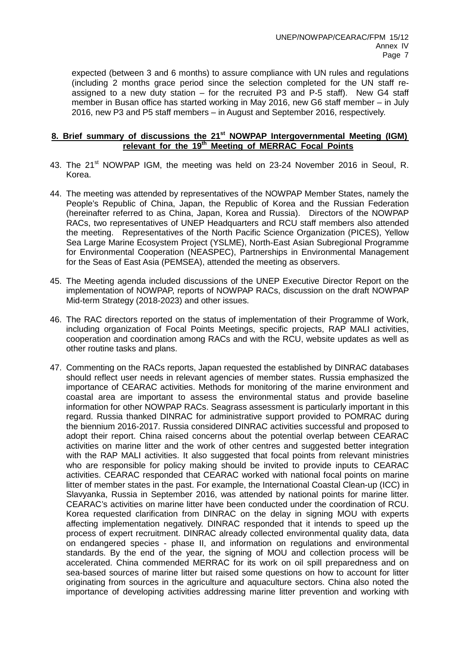expected (between 3 and 6 months) to assure compliance with UN rules and regulations (including 2 months grace period since the selection completed for the UN staff reassigned to a new duty station  $-$  for the recruited P3 and P-5 staff). New G4 staff member in Busan office has started working in May 2016, new G6 staff member – in July 2016, new P3 and P5 staff members – in August and September 2016, respectively.

# **8. Brief summary of discussions the 21st NOWPAP Intergovernmental Meeting (IGM) relevant for the 19th Meeting of MERRAC Focal Points**

- 43. The 21<sup>st</sup> NOWPAP IGM, the meeting was held on 23-24 November 2016 in Seoul, R. Korea.
- 44. The meeting was attended by representatives of the NOWPAP Member States, namely the People's Republic of China, Japan, the Republic of Korea and the Russian Federation (hereinafter referred to as China, Japan, Korea and Russia). Directors of the NOWPAP RACs, two representatives of UNEP Headquarters and RCU staff members also attended the meeting. Representatives of the North Pacific Science Organization (PICES), Yellow Sea Large Marine Ecosystem Project (YSLME), North-East Asian Subregional Programme for Environmental Cooperation (NEASPEC), Partnerships in Environmental Management for the Seas of East Asia (PEMSEA), attended the meeting as observers.
- 45. The Meeting agenda included discussions of the UNEP Executive Director Report on the implementation of NOWPAP, reports of NOWPAP RACs, discussion on the draft NOWPAP Mid-term Strategy (2018-2023) and other issues.
- 46. The RAC directors reported on the status of implementation of their Programme of Work, including organization of Focal Points Meetings, specific projects, RAP MALI activities, cooperation and coordination among RACs and with the RCU, website updates as well as other routine tasks and plans.
- 47. Commenting on the RACs reports, Japan requested the established by DINRAC databases should reflect user needs in relevant agencies of member states. Russia emphasized the importance of CEARAC activities. Methods for monitoring of the marine environment and coastal area are important to assess the environmental status and provide baseline information for other NOWPAP RACs. Seagrass assessment is particularly important in this regard. Russia thanked DINRAC for administrative support provided to POMRAC during the biennium 2016-2017. Russia considered DINRAC activities successful and proposed to adopt their report. China raised concerns about the potential overlap between CEARAC activities on marine litter and the work of other centres and suggested better integration with the RAP MALI activities. It also suggested that focal points from relevant ministries who are responsible for policy making should be invited to provide inputs to CEARAC activities. CEARAC responded that CEARAC worked with national focal points on marine litter of member states in the past. For example, the International Coastal Clean-up (ICC) in Slavyanka, Russia in September 2016, was attended by national points for marine litter. CEARAC's activities on marine litter have been conducted under the coordination of RCU. Korea requested clarification from DINRAC on the delay in signing MOU with experts affecting implementation negatively. DINRAC responded that it intends to speed up the process of expert recruitment. DINRAC already collected environmental quality data, data on endangered species - phase II, and information on regulations and environmental standards. By the end of the year, the signing of MOU and collection process will be accelerated. China commended MERRAC for its work on oil spill preparedness and on sea-based sources of marine litter but raised some questions on how to account for litter originating from sources in the agriculture and aquaculture sectors. China also noted the importance of developing activities addressing marine litter prevention and working with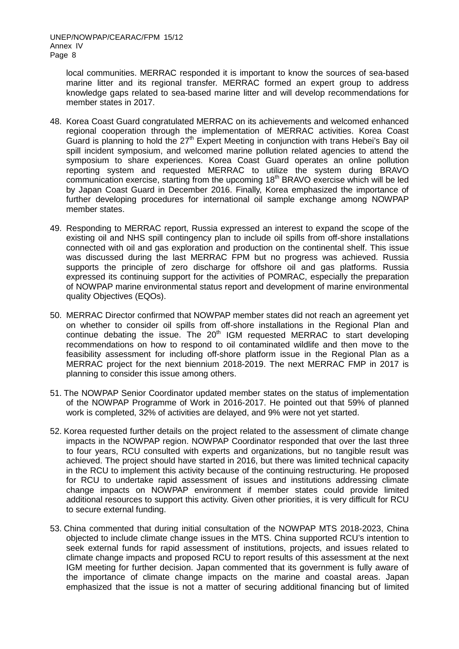local communities. MERRAC responded it is important to know the sources of sea-based marine litter and its regional transfer. MERRAC formed an expert group to address knowledge gaps related to sea-based marine litter and will develop recommendations for member states in 2017.

- 48. Korea Coast Guard congratulated MERRAC on its achievements and welcomed enhanced regional cooperation through the implementation of MERRAC activities. Korea Coast Guard is planning to hold the  $27<sup>th</sup>$  Expert Meeting in conjunction with trans Hebei's Bay oil spill incident symposium, and welcomed marine pollution related agencies to attend the symposium to share experiences. Korea Coast Guard operates an online pollution reporting system and requested MERRAC to utilize the system during BRAVO communication exercise, starting from the upcoming  $18<sup>th</sup>$  BRAVO exercise which will be led by Japan Coast Guard in December 2016. Finally, Korea emphasized the importance of further developing procedures for international oil sample exchange among NOWPAP member states.
- 49. Responding to MERRAC report, Russia expressed an interest to expand the scope of the existing oil and NHS spill contingency plan to include oil spills from off-shore installations connected with oil and gas exploration and production on the continental shelf. This issue was discussed during the last MERRAC FPM but no progress was achieved. Russia supports the principle of zero discharge for offshore oil and gas platforms. Russia expressed its continuing support for the activities of POMRAC, especially the preparation of NOWPAP marine environmental status report and development of marine environmental quality Objectives (EQOs).
- 50. MERRAC Director confirmed that NOWPAP member states did not reach an agreement yet on whether to consider oil spills from off-shore installations in the Regional Plan and  $\cot$  continue debating the issue. The 20<sup>th</sup> IGM requested MERRAC to start developing recommendations on how to respond to oil contaminated wildlife and then move to the feasibility assessment for including off-shore platform issue in the Regional Plan as a MERRAC project for the next biennium 2018-2019. The next MERRAC FMP in 2017 is planning to consider this issue among others.
- 51. The NOWPAP Senior Coordinator updated member states on the status of implementation of the NOWPAP Programme of Work in 2016-2017. He pointed out that 59% of planned work is completed, 32% of activities are delayed, and 9% were not yet started.
- 52. Korea requested further details on the project related to the assessment of climate change impacts in the NOWPAP region. NOWPAP Coordinator responded that over the last three to four years, RCU consulted with experts and organizations, but no tangible result was achieved. The project should have started in 2016, but there was limited technical capacity in the RCU to implement this activity because of the continuing restructuring. He proposed for RCU to undertake rapid assessment of issues and institutions addressing climate change impacts on NOWPAP environment if member states could provide limited additional resources to support this activity. Given other priorities, it is very difficult for RCU to secure external funding.
- 53. China commented that during initial consultation of the NOWPAP MTS 2018-2023, China objected to include climate change issues in the MTS. China supported RCU's intention to seek external funds for rapid assessment of institutions, projects, and issues related to climate change impacts and proposed RCU to report results of this assessment at the next IGM meeting for further decision. Japan commented that its government is fully aware of the importance of climate change impacts on the marine and coastal areas. Japan emphasized that the issue is not a matter of securing additional financing but of limited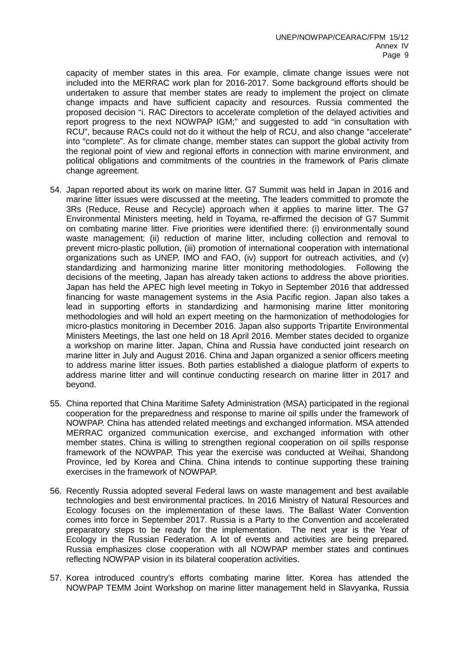capacity of member states in this area. For example, climate change issues were not included into the MERRAC work plan for 2016-2017. Some background efforts should be undertaken to assure that member states are ready to implement the project on climate change impacts and have sufficient capacity and resources. Russia commented the proposed decision "i. RAC Directors to accelerate completion of the delayed activities and report progress to the next NOWPAP IGM;" and suggested to add "in consultation with RCU", because RACs could not do it without the help of RCU, and also change "accelerate" into "complete". As for climate change, member states can support the global activity from the regional point of view and regional efforts in connection with marine environment, and political obligations and commitments of the countries in the framework of Paris climate change agreement.

- 54. Japan reported about its work on marine litter. G7 Summit was held in Japan in 2016 and marine litter issues were discussed at the meeting. The leaders committed to promote the 3Rs (Reduce, Reuse and Recycle) approach when it applies to marine litter. The G7 Environmental Ministers meeting, held in Toyama, re-affirmed the decision of G7 Summit on combating marine litter. Five priorities were identified there: (i) environmentally sound waste management; (ii) reduction of marine litter, including collection and removal to prevent micro-plastic pollution, (iii) promotion of international cooperation with international organizations such as UNEP, IMO and FAO, (iv) support for outreach activities, and (v) standardizing and harmonizing marine litter monitoring methodologies. Following the decisions of the meeting, Japan has already taken actions to address the above priorities. Japan has held the APEC high level meeting in Tokyo in September 2016 that addressed financing for waste management systems in the Asia Pacific region. Japan also takes a lead in supporting efforts in standardizing and harmonising marine litter monitoring methodologies and will hold an expert meeting on the harmonization of methodologies for micro-plastics monitoring in December 2016. Japan also supports Tripartite Environmental Ministers Meetings, the last one held on 18 April 2016. Member states decided to organize a workshop on marine litter. Japan, China and Russia have conducted joint research on marine litter in July and August 2016. China and Japan organized a senior officers meeting to address marine litter issues. Both parties established a dialogue platform of experts to address marine litter and will continue conducting research on marine litter in 2017 and beyond.
- 55. China reported that China Maritime Safety Administration (MSA) participated in the regional cooperation for the preparedness and response to marine oil spills under the framework of NOWPAP. China has attended related meetings and exchanged information. MSA attended MERRAC organized communication exercise, and exchanged information with other member states. China is willing to strengthen regional cooperation on oil spills response framework of the NOWPAP. This year the exercise was conducted at Weihai, Shandong Province, led by Korea and China. China intends to continue supporting these training exercises in the framework of NOWPAP.
- 56. Recently Russia adopted several Federal laws on waste management and best available technologies and best environmental practices. In 2016 Ministry of Natural Resources and Ecology focuses on the implementation of these laws. The Ballast Water Convention comes into force in September 2017. Russia is a Party to the Convention and accelerated preparatory steps to be ready for the implementation. The next year is the Year of Ecology in the Russian Federation. A lot of events and activities are being prepared. Russia emphasizes close cooperation with all NOWPAP member states and continues reflecting NOWPAP vision in its bilateral cooperation activities.
- 57. Korea introduced country's efforts combating marine litter. Korea has attended the NOWPAP TEMM Joint Workshop on marine litter management held in Slavyanka, Russia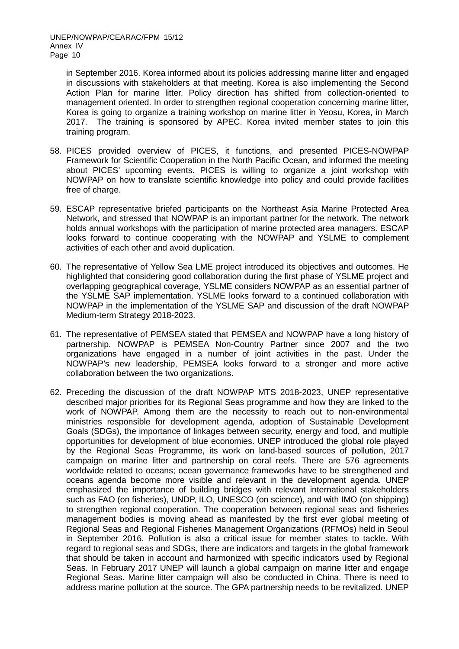in September 2016. Korea informed about its policies addressing marine litter and engaged in discussions with stakeholders at that meeting. Korea is also implementing the Second Action Plan for marine litter. Policy direction has shifted from collection-oriented to management oriented. In order to strengthen regional cooperation concerning marine litter, Korea is going to organize a training workshop on marine litter in Yeosu, Korea, in March 2017. The training is sponsored by APEC. Korea invited member states to join this training program.

- 58. PICES provided overview of PICES, it functions, and presented PICES-NOWPAP Framework for Scientific Cooperation in the North Pacific Ocean, and informed the meeting about PICES' upcoming events. PICES is willing to organize a joint workshop with NOWPAP on how to translate scientific knowledge into policy and could provide facilities free of charge.
- 59. ESCAP representative briefed participants on the Northeast Asia Marine Protected Area Network, and stressed that NOWPAP is an important partner for the network. The network holds annual workshops with the participation of marine protected area managers. ESCAP looks forward to continue cooperating with the NOWPAP and YSLME to complement activities of each other and avoid duplication.
- 60. The representative of Yellow Sea LME project introduced its objectives and outcomes. He highlighted that considering good collaboration during the first phase of YSLME project and overlapping geographical coverage, YSLME considers NOWPAP as an essential partner of the YSLME SAP implementation. YSLME looks forward to a continued collaboration with NOWPAP in the implementation of the YSLME SAP and discussion of the draft NOWPAP Medium-term Strategy 2018-2023.
- 61. The representative of PEMSEA stated that PEMSEA and NOWPAP have a long history of partnership. NOWPAP is PEMSEA Non-Country Partner since 2007 and the two organizations have engaged in a number of joint activities in the past. Under the NOWPAP's new leadership, PEMSEA looks forward to a stronger and more active collaboration between the two organizations.
- 62. Preceding the discussion of the draft NOWPAP MTS 2018-2023, UNEP representative described major priorities for its Regional Seas programme and how they are linked to the work of NOWPAP. Among them are the necessity to reach out to non-environmental ministries responsible for development agenda, adoption of Sustainable Development Goals (SDGs), the importance of linkages between security, energy and food, and multiple opportunities for development of blue economies. UNEP introduced the global role played by the Regional Seas Programme, its work on land-based sources of pollution, 2017 campaign on marine litter and partnership on coral reefs. There are 576 agreements worldwide related to oceans; ocean governance frameworks have to be strengthened and oceans agenda become more visible and relevant in the development agenda. UNEP emphasized the importance of building bridges with relevant international stakeholders such as FAO (on fisheries), UNDP, ILO, UNESCO (on science), and with IMO (on shipping) to strengthen regional cooperation. The cooperation between regional seas and fisheries management bodies is moving ahead as manifested by the first ever global meeting of Regional Seas and Regional Fisheries Management Organizations (RFMOs) held in Seoul in September 2016. Pollution is also a critical issue for member states to tackle. With regard to regional seas and SDGs, there are indicators and targets in the global framework that should be taken in account and harmonized with specific indicators used by Regional Seas. In February 2017 UNEP will launch a global campaign on marine litter and engage Regional Seas. Marine litter campaign will also be conducted in China. There is need to address marine pollution at the source. The GPA partnership needs to be revitalized. UNEP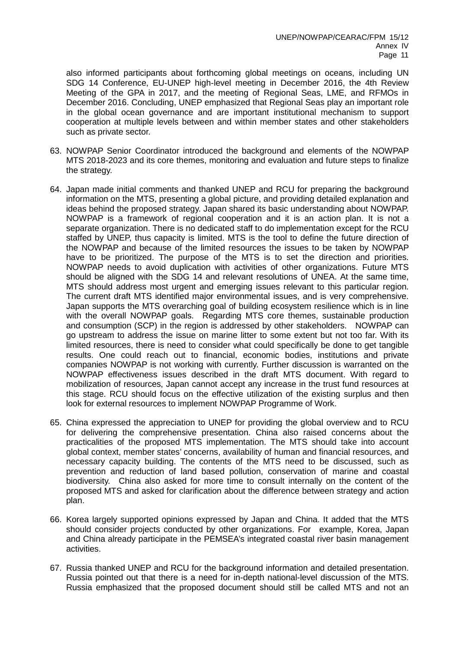also informed participants about forthcoming global meetings on oceans, including UN SDG 14 Conference, EU-UNEP high-level meeting in December 2016, the 4th Review Meeting of the GPA in 2017, and the meeting of Regional Seas, LME, and RFMOs in December 2016. Concluding, UNEP emphasized that Regional Seas play an important role in the global ocean governance and are important institutional mechanism to support cooperation at multiple levels between and within member states and other stakeholders such as private sector.

- 63. NOWPAP Senior Coordinator introduced the background and elements of the NOWPAP MTS 2018-2023 and its core themes, monitoring and evaluation and future steps to finalize the strategy.
- 64. Japan made initial comments and thanked UNEP and RCU for preparing the background information on the MTS, presenting a global picture, and providing detailed explanation and ideas behind the proposed strategy. Japan shared its basic understanding about NOWPAP. NOWPAP is a framework of regional cooperation and it is an action plan. It is not a separate organization. There is no dedicated staff to do implementation except for the RCU staffed by UNEP, thus capacity is limited. MTS is the tool to define the future direction of the NOWPAP and because of the limited resources the issues to be taken by NOWPAP have to be prioritized. The purpose of the MTS is to set the direction and priorities. NOWPAP needs to avoid duplication with activities of other organizations. Future MTS should be aligned with the SDG 14 and relevant resolutions of UNEA. At the same time, MTS should address most urgent and emerging issues relevant to this particular region. The current draft MTS identified major environmental issues, and is very comprehensive. Japan supports the MTS overarching goal of building ecosystem resilience which is in line with the overall NOWPAP goals. Regarding MTS core themes, sustainable production and consumption (SCP) in the region is addressed by other stakeholders. NOWPAP can go upstream to address the issue on marine litter to some extent but not too far. With its limited resources, there is need to consider what could specifically be done to get tangible results. One could reach out to financial, economic bodies, institutions and private companies NOWPAP is not working with currently. Further discussion is warranted on the NOWPAP effectiveness issues described in the draft MTS document. With regard to mobilization of resources, Japan cannot accept any increase in the trust fund resources at this stage. RCU should focus on the effective utilization of the existing surplus and then look for external resources to implement NOWPAP Programme of Work.
- 65. China expressed the appreciation to UNEP for providing the global overview and to RCU for delivering the comprehensive presentation. China also raised concerns about the practicalities of the proposed MTS implementation. The MTS should take into account global context, member states' concerns, availability of human and financial resources, and necessary capacity building. The contents of the MTS need to be discussed, such as prevention and reduction of land based pollution, conservation of marine and coastal biodiversity. China also asked for more time to consult internally on the content of the proposed MTS and asked for clarification about the difference between strategy and action plan.
- 66. Korea largely supported opinions expressed by Japan and China. It added that the MTS should consider projects conducted by other organizations. For example, Korea, Japan and China already participate in the PEMSEA's integrated coastal river basin management activities.
- 67. Russia thanked UNEP and RCU for the background information and detailed presentation. Russia pointed out that there is a need for in-depth national-level discussion of the MTS. Russia emphasized that the proposed document should still be called MTS and not an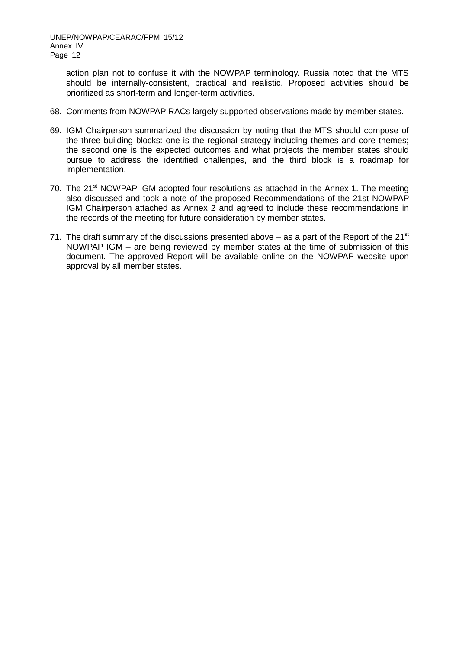action plan not to confuse it with the NOWPAP terminology. Russia noted that the MTS should be internally-consistent, practical and realistic. Proposed activities should be prioritized as short-term and longer-term activities.

- 68. Comments from NOWPAP RACs largely supported observations made by member states.
- 69. IGM Chairperson summarized the discussion by noting that the MTS should compose of the three building blocks: one is the regional strategy including themes and core themes; the second one is the expected outcomes and what projects the member states should pursue to address the identified challenges, and the third block is a roadmap for implementation.
- 70. The 21<sup>st</sup> NOWPAP IGM adopted four resolutions as attached in the Annex 1. The meeting also discussed and took a note of the proposed Recommendations of the 21st NOWPAP IGM Chairperson attached as Annex 2 and agreed to include these recommendations in the records of the meeting for future consideration by member states.
- 71. The draft summary of the discussions presented above as a part of the Report of the  $21^{st}$ NOWPAP IGM – are being reviewed by member states at the time of submission of this document. The approved Report will be available online on the NOWPAP website upon approval by all member states.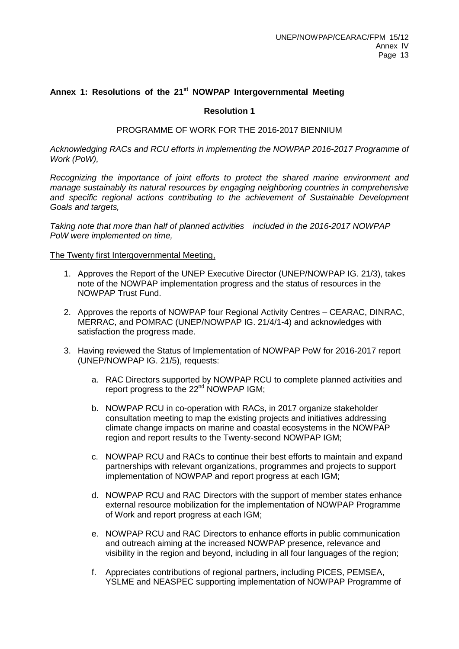### Annex 1: Resolutions of the 21<sup>st</sup> NOWPAP Intergovernmental Meeting

### **Resolution 1**

#### PROGRAMME OF WORK FOR THE 2016-2017 BIENNIUM

*Acknowledging RACs and RCU efforts in implementing the NOWPAP 2016-2017 Programme of Work (PoW),*

*Recognizing the importance of joint efforts to protect the shared marine environment and manage sustainably its natural resources by engaging neighboring countries in comprehensive and specific regional actions contributing to the achievement of Sustainable Development Goals and targets,*

*Taking note that more than half of planned activities included in the 2016-2017 NOWPAP PoW were implemented on time,*

- 1. Approves the Report of the UNEP Executive Director (UNEP/NOWPAP IG. 21/3), takes note of the NOWPAP implementation progress and the status of resources in the NOWPAP Trust Fund.
- 2. Approves the reports of NOWPAP four Regional Activity Centres CEARAC, DINRAC, MERRAC, and POMRAC (UNEP/NOWPAP IG. 21/4/1-4) and acknowledges with satisfaction the progress made.
- 3. Having reviewed the Status of Implementation of NOWPAP PoW for 2016-2017 report (UNEP/NOWPAP IG. 21/5), requests:
	- a. RAC Directors supported by NOWPAP RCU to complete planned activities and report progress to the 22<sup>nd</sup> NOWPAP IGM;
	- b. NOWPAP RCU in co-operation with RACs, in 2017 organize stakeholder consultation meeting to map the existing projects and initiatives addressing climate change impacts on marine and coastal ecosystems in the NOWPAP region and report results to the Twenty-second NOWPAP IGM;
	- c. NOWPAP RCU and RACs to continue their best efforts to maintain and expand partnerships with relevant organizations, programmes and projects to support implementation of NOWPAP and report progress at each IGM;
	- d. NOWPAP RCU and RAC Directors with the support of member states enhance external resource mobilization for the implementation of NOWPAP Programme of Work and report progress at each IGM;
	- e. NOWPAP RCU and RAC Directors to enhance efforts in public communication and outreach aiming at the increased NOWPAP presence, relevance and visibility in the region and beyond, including in all four languages of the region;
	- f. Appreciates contributions of regional partners, including PICES, PEMSEA, YSLME and NEASPEC supporting implementation of NOWPAP Programme of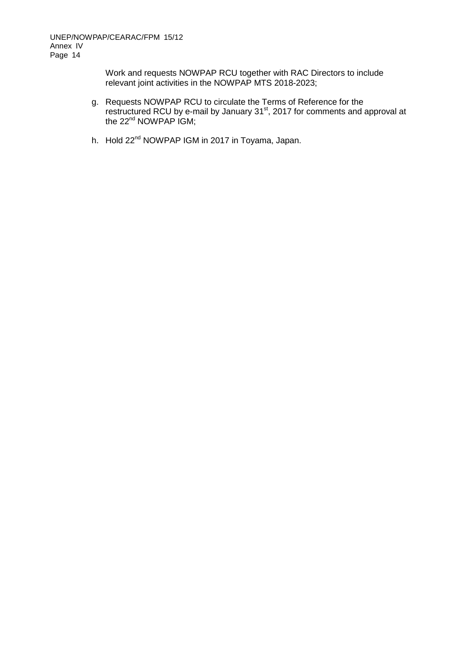Work and requests NOWPAP RCU together with RAC Directors to include relevant joint activities in the NOWPAP MTS 2018-2023;

- g. Requests NOWPAP RCU to circulate the Terms of Reference for the restructured RCU by e-mail by January 31<sup>st</sup>, 2017 for comments and approval at the 22<sup>nd</sup> NOWPAP IGM;
- h. Hold 22<sup>nd</sup> NOWPAP IGM in 2017 in Toyama, Japan.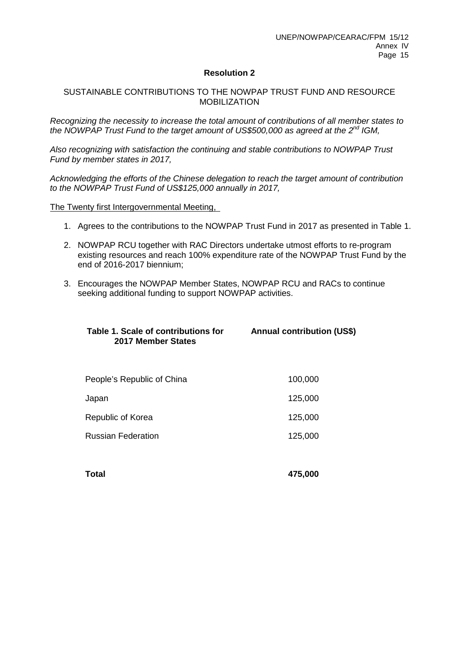### **Resolution 2**

### SUSTAINABLE CONTRIBUTIONS TO THE NOWPAP TRUST FUND AND RESOURCE MOBILIZATION

*Recognizing the necessity to increase the total amount of contributions of all member states to the NOWPAP Trust Fund to the target amount of US\$500,000 as agreed at the 2nd IGM,*

*Also recognizing with satisfaction the continuing and stable contributions to NOWPAP Trust Fund by member states in 2017,*

*Acknowledging the efforts of the Chinese delegation to reach the target amount of contribution to the NOWPAP Trust Fund of US\$125,000 annually in 2017,*

- 1. Agrees to the contributions to the NOWPAP Trust Fund in 2017 as presented in Table 1.
- 2. NOWPAP RCU together with RAC Directors undertake utmost efforts to re-program existing resources and reach 100% expenditure rate of the NOWPAP Trust Fund by the end of 2016-2017 biennium;
- 3. Encourages the NOWPAP Member States, NOWPAP RCU and RACs to continue seeking additional funding to support NOWPAP activities.

| Table 1. Scale of contributions for<br>2017 Member States | <b>Annual contribution (US\$)</b> |
|-----------------------------------------------------------|-----------------------------------|
| People's Republic of China                                | 100,000                           |
| Japan                                                     | 125,000                           |
| Republic of Korea                                         | 125,000                           |
| <b>Russian Federation</b>                                 | 125,000                           |
|                                                           |                                   |
| Total                                                     | 475.000                           |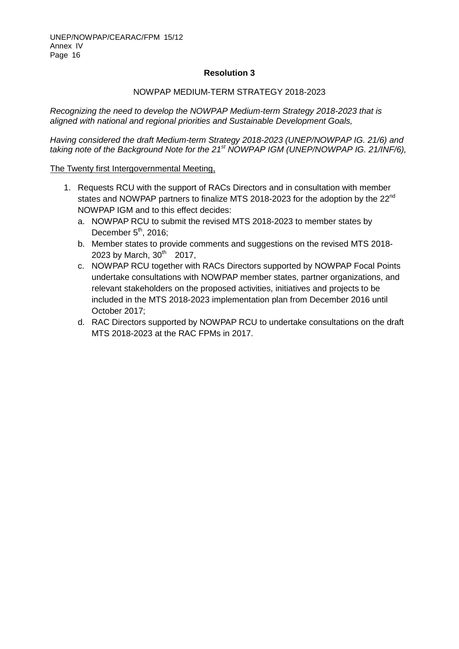### **Resolution 3**

### NOWPAP MEDIUM-TERM STRATEGY 2018-2023

*Recognizing the need to develop the NOWPAP Medium-term Strategy 2018-2023 that is aligned with national and regional priorities and Sustainable Development Goals,*

*Having considered the draft Medium-term Strategy 2018-2023 (UNEP/NOWPAP IG. 21/6) and taking note of the Background Note for the 21st NOWPAP IGM (UNEP/NOWPAP IG. 21/INF/6),*

- 1. Requests RCU with the support of RACs Directors and in consultation with member states and NOWPAP partners to finalize MTS 2018-2023 for the adoption by the 22<sup>nd</sup> NOWPAP IGM and to this effect decides:
	- a. NOWPAP RCU to submit the revised MTS 2018-2023 to member states by December  $5<sup>th</sup>$ , 2016;
	- b. Member states to provide comments and suggestions on the revised MTS 2018- 2023 by March,  $30^{th}$  2017,
	- c. NOWPAP RCU together with RACs Directors supported by NOWPAP Focal Points undertake consultations with NOWPAP member states, partner organizations, and relevant stakeholders on the proposed activities, initiatives and projects to be included in the MTS 2018-2023 implementation plan from December 2016 until October 2017;
	- d. RAC Directors supported by NOWPAP RCU to undertake consultations on the draft MTS 2018-2023 at the RAC FPMs in 2017.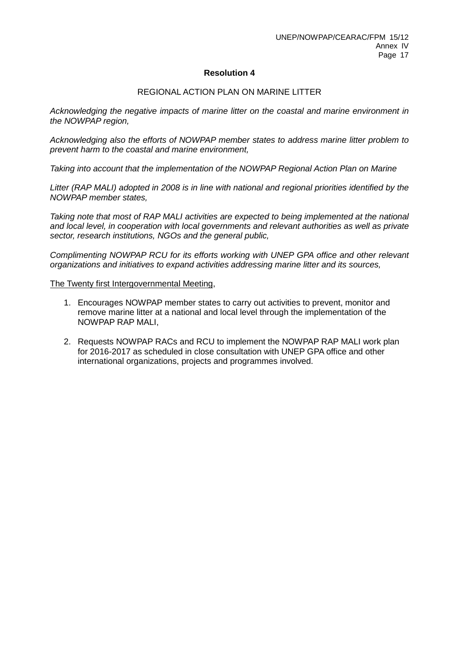### **Resolution 4**

### REGIONAL ACTION PLAN ON MARINE LITTER

*Acknowledging the negative impacts of marine litter on the coastal and marine environment in the NOWPAP region,*

*Acknowledging also the efforts of NOWPAP member states to address marine litter problem to prevent harm to the coastal and marine environment,*

*Taking into account that the implementation of the NOWPAP Regional Action Plan on Marine*

*Litter (RAP MALI) adopted in 2008 is in line with national and regional priorities identified by the NOWPAP member states,*

*Taking note that most of RAP MALI activities are expected to being implemented at the national and local level, in cooperation with local governments and relevant authorities as well as private sector, research institutions, NGOs and the general public,*

*Complimenting NOWPAP RCU for its efforts working with UNEP GPA office and other relevant organizations and initiatives to expand activities addressing marine litter and its sources,*

- 1. Encourages NOWPAP member states to carry out activities to prevent, monitor and remove marine litter at a national and local level through the implementation of the NOWPAP RAP MALI,
- 2. Requests NOWPAP RACs and RCU to implement the NOWPAP RAP MALI work plan for 2016-2017 as scheduled in close consultation with UNEP GPA office and other international organizations, projects and programmes involved.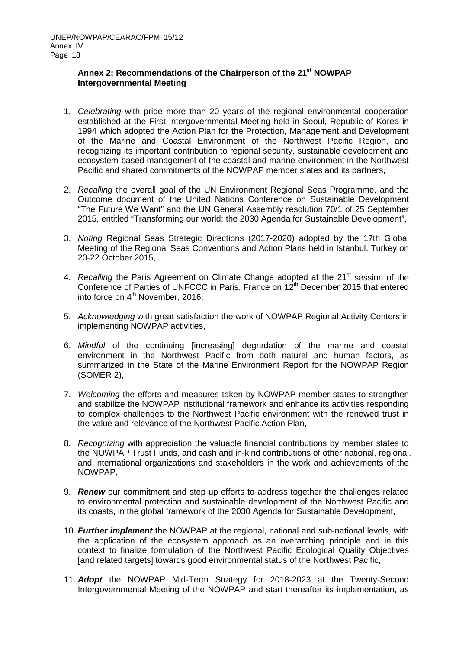#### Annex 2: Recommendations of the Chairperson of the 21<sup>st</sup> NOWPAP **Intergovernmental Meeting**

- 1. *Celebrating* with pride more than 20 years of the regional environmental cooperation established at the First Intergovernmental Meeting held in Seoul, Republic of Korea in 1994 which adopted the Action Plan for the Protection, Management and Development of the Marine and Coastal Environment of the Northwest Pacific Region, and recognizing its important contribution to regional security, sustainable development and ecosystem-based management of the coastal and marine environment in the Northwest Pacific and shared commitments of the NOWPAP member states and its partners,
- 2. *Recalling* the overall goal of the UN Environment Regional Seas Programme, and the Outcome document of the United Nations Conference on Sustainable Development "The Future We Want" and the UN General Assembly resolution 70/1 of 25 September 2015, entitled "Transforming our world: the 2030 Agenda for Sustainable Development",
- 3. *Noting* Regional Seas Strategic Directions (2017-2020) adopted by the 17th Global Meeting of the Regional Seas Conventions and Action Plans held in Istanbul, Turkey on 20-22 October 2015,
- 4. *Recalling* the Paris Agreement on Climate Change adopted at the 21<sup>st</sup> session of the Conference of Parties of UNFCCC in Paris, France on 12<sup>th</sup> December 2015 that entered into force on  $4<sup>th</sup>$  November, 2016,
- 5. *Acknowledging* with great satisfaction the work of NOWPAP Regional Activity Centers in implementing NOWPAP activities,
- 6. *Mindful* of the continuing [increasing] degradation of the marine and coastal environment in the Northwest Pacific from both natural and human factors, as summarized in the State of the Marine Environment Report for the NOWPAP Region (SOMER 2),
- 7. *Welcoming* the efforts and measures taken by NOWPAP member states to strengthen and stabilize the NOWPAP institutional framework and enhance its activities responding to complex challenges to the Northwest Pacific environment with the renewed trust in the value and relevance of the Northwest Pacific Action Plan,
- 8. *Recognizing* with appreciation the valuable financial contributions by member states to the NOWPAP Trust Funds, and cash and in-kind contributions of other national, regional, and international organizations and stakeholders in the work and achievements of the NOWPAP,
- 9. *Renew* our commitment and step up efforts to address together the challenges related to environmental protection and sustainable development of the Northwest Pacific and its coasts, in the global framework of the 2030 Agenda for Sustainable Development,
- 10. *Further implement* the NOWPAP at the regional, national and sub-national levels, with the application of the ecosystem approach as an overarching principle and in this context to finalize formulation of the Northwest Pacific Ecological Quality Objectives [and related targets] towards good environmental status of the Northwest Pacific,
- 11. *Adopt* the NOWPAP Mid-Term Strategy for 2018-2023 at the Twenty-Second Intergovernmental Meeting of the NOWPAP and start thereafter its implementation, as